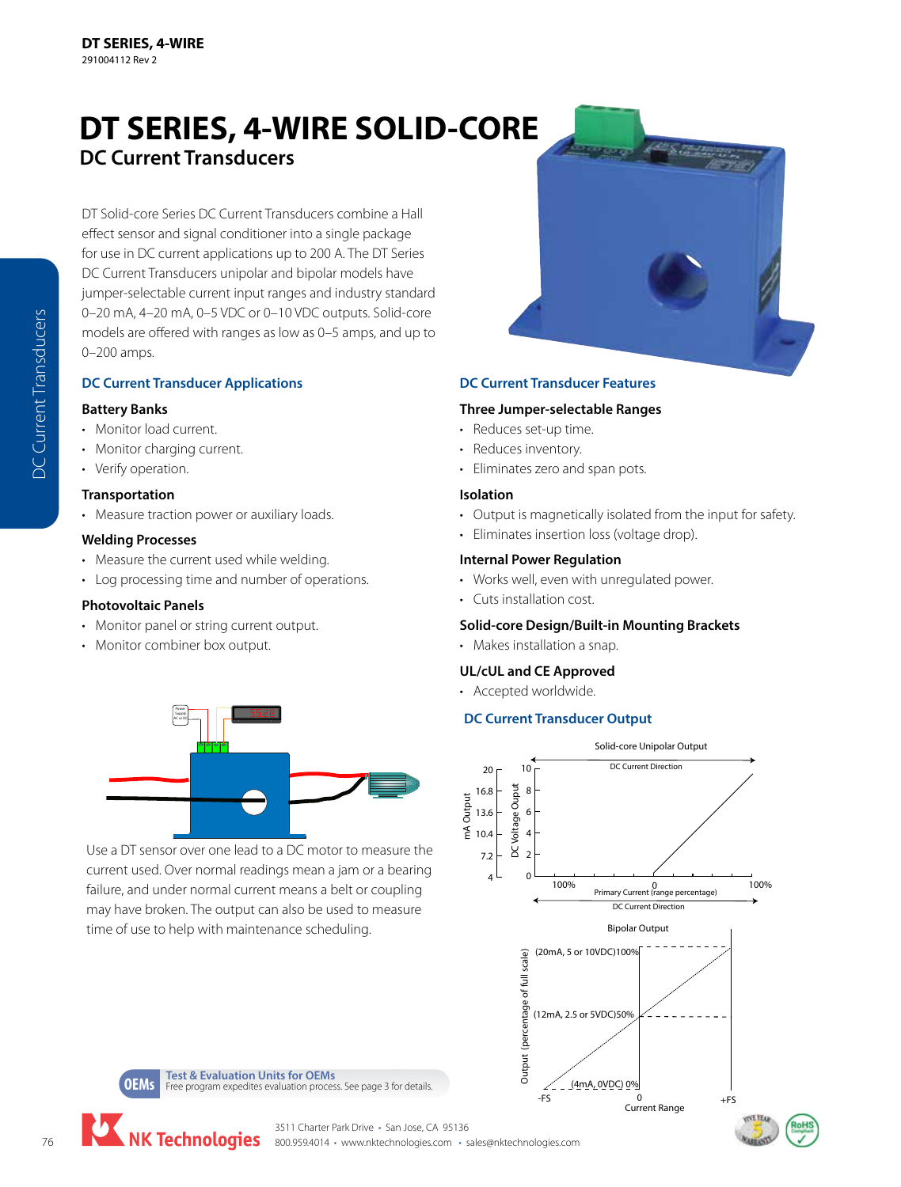# **DT SERIES, 4-WIRE SOLID-CORE DC Current Transducers**

DT Solid-core Series DC Current Transducers combine a Hall effect sensor and signal conditioner into a single package for use in DC current applications up to 200 A. The DT Series DC Current Transducers unipolar and bipolar models have jumper-selectable current input ranges and industry standard 0–20 mA, 4–20 mA, 0–5 VDC or 0–10 VDC outputs. Solid-core models are offered with ranges as low as 0–5 amps, and up to 0–200 amps.

# **DC Current Transducer Applications**

### **Battery Banks**

- Monitor load current.
- Monitor charging current.
- Verify operation.

#### **Transportation**

- Measure traction power or auxiliary loads.
- **Welding Processes**
- Measure the current used while welding.
- Log processing time and number of operations.

#### **Photovoltaic Panels**

- Monitor panel or string current output.
- Monitor combiner box output.



Use a DT sensor over one lead to a DC motor to measure the current used. Over normal readings mean a jam or a bearing failure, and under normal current means a belt or coupling may have broken. The output can also be used to measure time of use to help with maintenance scheduling.



# **DC Current Transducer Features**

#### **Three Jumper-selectable Ranges**

- Reduces set-up time.
- Reduces inventory.
- Eliminates zero and span pots.

### **Isolation**

- Output is magnetically isolated from the input for safety.
- Eliminates insertion loss (voltage drop).

#### **Internal Power Regulation**

- Works well, even with unregulated power.
- Cuts installation cost.

# **Solid-core Design/Built-in Mounting Brackets**

• Makes installation a snap.

#### **UL/cUL and CE Approved**

• Accepted worldwide.

# **DC Current Transducer Output**





3511 Charter Park Drive • San Jose, CA 95136